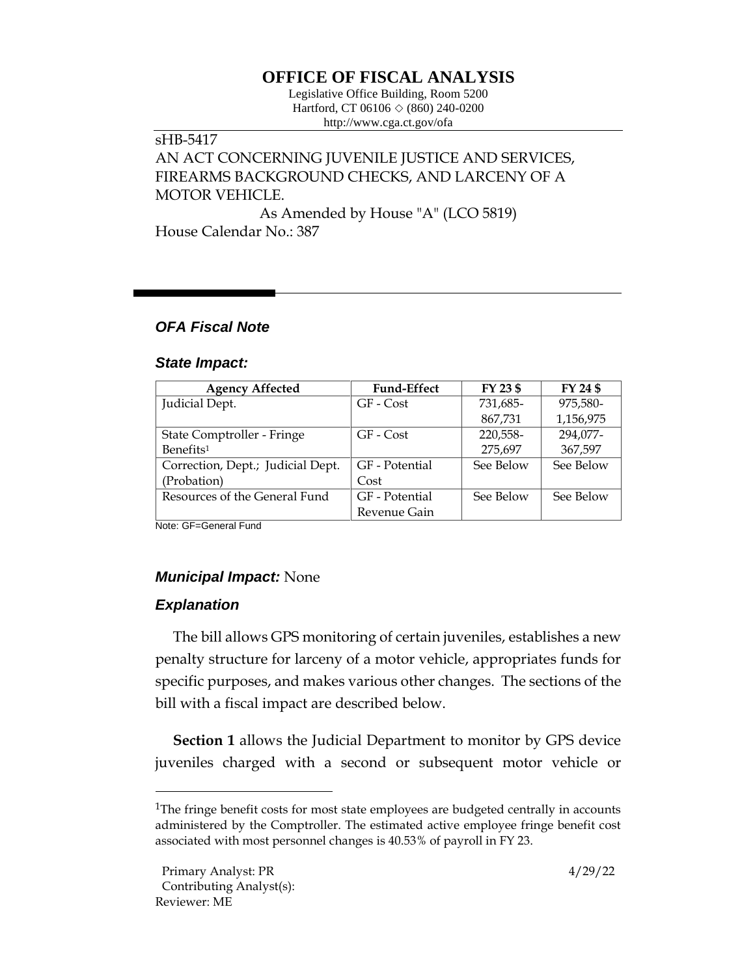# **OFFICE OF FISCAL ANALYSIS**

Legislative Office Building, Room 5200 Hartford, CT 06106  $\Diamond$  (860) 240-0200 http://www.cga.ct.gov/ofa

### sHB-5417 AN ACT CONCERNING JUVENILE JUSTICE AND SERVICES, FIREARMS BACKGROUND CHECKS, AND LARCENY OF A MOTOR VEHICLE.

As Amended by House "A" (LCO 5819) House Calendar No.: 387

### *OFA Fiscal Note*

#### *State Impact:*

| <b>Agency Affected</b>            | <b>Fund-Effect</b> | FY 23 \$  | FY 24 \$  |
|-----------------------------------|--------------------|-----------|-----------|
| Judicial Dept.                    | GF - Cost          | 731,685-  | 975.580-  |
|                                   |                    | 867,731   | 1,156,975 |
| State Comptroller - Fringe        | GF - Cost          | 220,558-  | 294,077-  |
| Benefits <sup>1</sup>             |                    | 275,697   | 367,597   |
| Correction, Dept.; Judicial Dept. | GF - Potential     | See Below | See Below |
| (Probation)                       | Cost               |           |           |
| Resources of the General Fund     | GF - Potential     | See Below | See Below |
|                                   | Revenue Gain       |           |           |

Note: GF=General Fund

## *Municipal Impact:* None

## *Explanation*

The bill allows GPS monitoring of certain juveniles, establishes a new penalty structure for larceny of a motor vehicle, appropriates funds for specific purposes, and makes various other changes. The sections of the bill with a fiscal impact are described below.

**Section 1** allows the Judicial Department to monitor by GPS device juveniles charged with a second or subsequent motor vehicle or

<sup>&</sup>lt;sup>1</sup>The fringe benefit costs for most state employees are budgeted centrally in accounts administered by the Comptroller. The estimated active employee fringe benefit cost associated with most personnel changes is 40.53% of payroll in FY 23.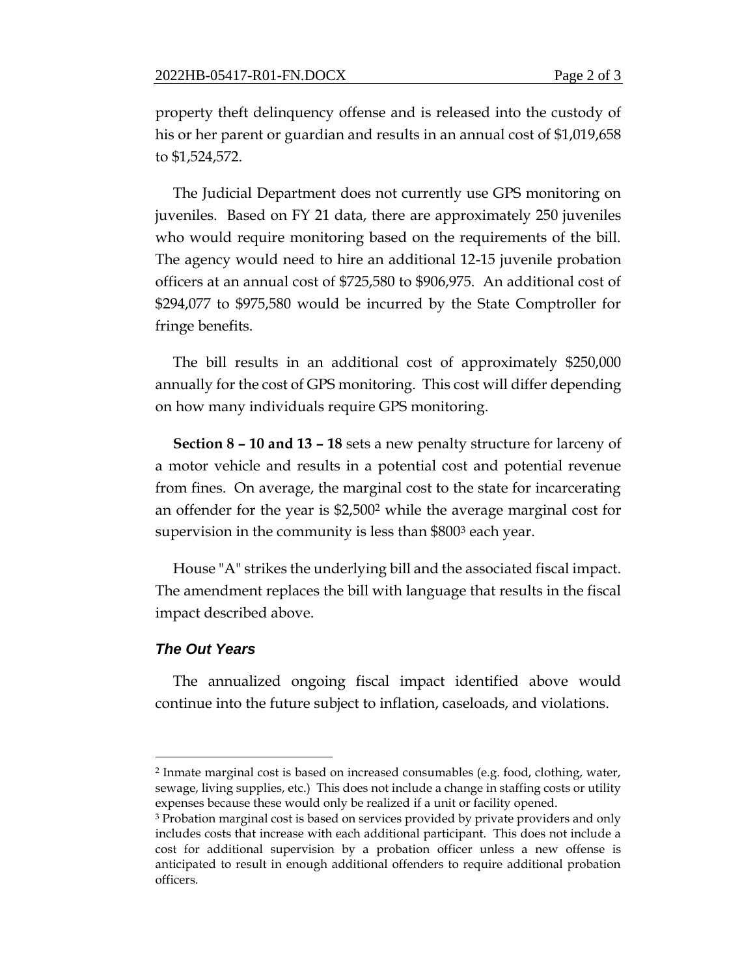property theft delinquency offense and is released into the custody of his or her parent or guardian and results in an annual cost of \$1,019,658 to \$1,524,572.

The Judicial Department does not currently use GPS monitoring on juveniles. Based on FY 21 data, there are approximately 250 juveniles who would require monitoring based on the requirements of the bill. The agency would need to hire an additional 12-15 juvenile probation officers at an annual cost of \$725,580 to \$906,975. An additional cost of \$294,077 to \$975,580 would be incurred by the State Comptroller for fringe benefits.

The bill results in an additional cost of approximately \$250,000 annually for the cost of GPS monitoring. This cost will differ depending on how many individuals require GPS monitoring.

**Section 8 – 10 and 13 – 18** sets a new penalty structure for larceny of a motor vehicle and results in a potential cost and potential revenue from fines. On average, the marginal cost to the state for incarcerating an offender for the year is \$2,500<sup>2</sup> while the average marginal cost for supervision in the community is less than \$800<sup>3</sup> each year.

House "A" strikes the underlying bill and the associated fiscal impact. The amendment replaces the bill with language that results in the fiscal impact described above.

#### *The Out Years*

The annualized ongoing fiscal impact identified above would continue into the future subject to inflation, caseloads, and violations.

<sup>2</sup> Inmate marginal cost is based on increased consumables (e.g. food, clothing, water, sewage, living supplies, etc.) This does not include a change in staffing costs or utility expenses because these would only be realized if a unit or facility opened.

<sup>3</sup> Probation marginal cost is based on services provided by private providers and only includes costs that increase with each additional participant. This does not include a cost for additional supervision by a probation officer unless a new offense is anticipated to result in enough additional offenders to require additional probation officers.